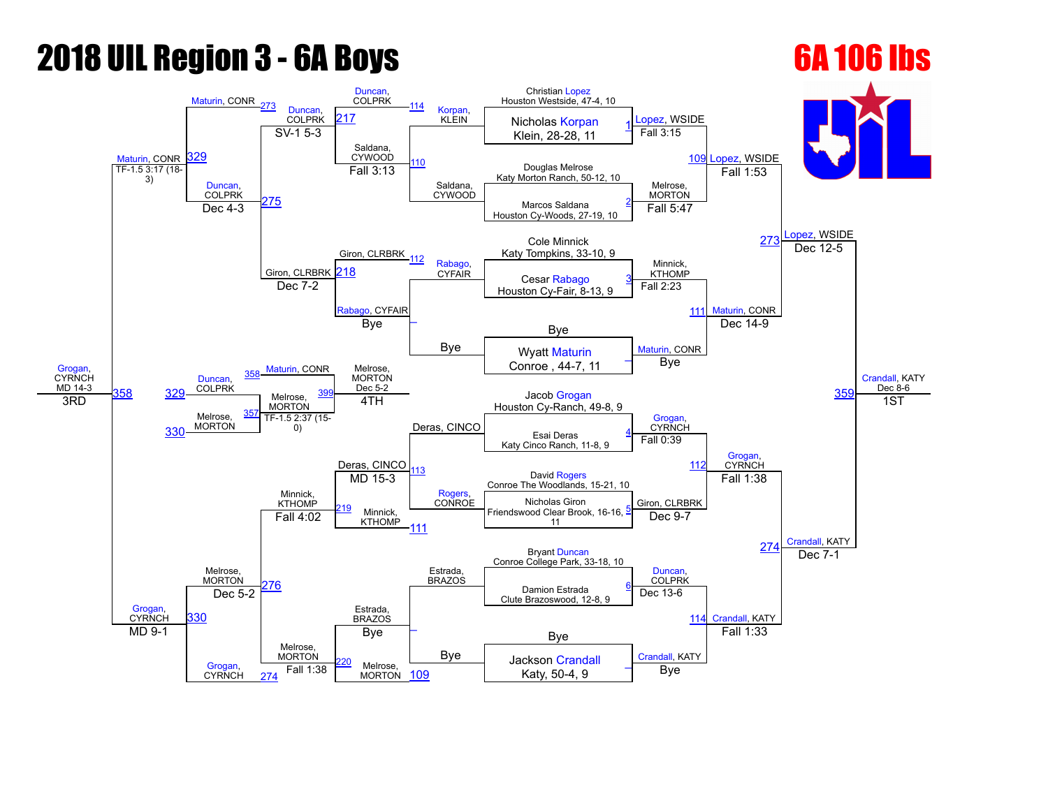# **2018 UIL Region 3 - 6A Boys 6A 106 lbs**

## [Grogan,](javascript:viewProfile(1010192009)) **CYRNCH** MD 14-3 [Maturin,](javascript:viewProfile(1096479009)) CONR [Maturin](javascript:viewProfile(1096479009)), CONR [273](javascript:openBoutSheet(17,) [Duncan](javascript:viewProfile(1118992096)), **COLPRK** [Duncan](javascript:viewProfile(1118992096)), COLPRK [114](javascript:openBoutSheet(15,) [Korpan,](javascript:viewProfile(790863096))<br>KLEIN Christian [Lopez](javascript:viewProfile(15944094)) Houston Westside, 47-4, 10 [Lopez](javascript:viewProfile(15944094)), WSIDE [Lopez,](javascript:viewProfile(15944094)) WSIDE [Lopez,](javascript:viewProfile(15944094)) WSIDE [Crandall](javascript:viewProfile(1009982009)), KATY Dec $8-6$ [329](javascript:openBoutSheet(25,) [217](javascript:openBoutSheet(18,) Morpan, Nicholas [Korpan](javascript:viewProfile(790863096)) Klein, 28-28, 11 [1](javascript:openBoutSheet(1,)  $SV-1$  5-3 Saldana, CYWOOD Saldana, CYWOOD Fall 3:15 [109](javascript:openBoutSheet(9,) Douglas Melrose Katy Morton Ranch, 50-12, 10  $TF-1.5 \frac{3:17}{3} (18-$ [Duncan](javascript:viewProfile(1118992096)), COLPRK [275](javascript:openBoutSheet(23,) Fall 3:13 Melrose, MORTON Fall 1:53 Marcos Saldana Houston Cy-Woods, 27-19, 10 <u>Dec 4-3</u> [2](javascript:openBoutSheet(2,)75<br>Dec 4-3 275 Giron, CLRBRK Fall 5:47 Cole Minnick [273](javascript:openBoutSheet(17,) Katy Tompkins, 33-10, 9 Giron, CLRBRK 218 [112](javascript:openBoutSheet(13,) [Rabago](javascript:viewProfile(1789124096)), CYFAIR Minnick, KTHOMP Dec 12-5 Cesar [Rabago](javascript:viewProfile(1789124096)) <u>Green CyFair, Cesar Rabago [3](javascript:openBoutSheet(3,)</u><br>Dec 7-2 **Dec 7-2** Houston Cy-Fair, 8-13, 9 CYFAIR  $\overline{\phantom{a}}$ Bye Fall 2:23 [111](javascript:openBoutSheet(11,) [Maturin,](javascript:viewProfile(1096479009)) CONR Bye [Maturin,](javascript:viewProfile(1096479009)) CONR Bye [Maturin](javascript:viewProfile(1096479009)), CONR Dec 14-9 35 Wyatt [Maturin](javascript:viewProfile(1096479009)) Conroe, 44-7, 11 [\\_](javascript:openBoutSheet(4,) [Duncan,](javascript:viewProfile(1118992096)) **COLPRK** [358](javascript:openBoutSheet(28,) Melrose, **MORTON** Dec 5-2 Deras, CINCO Bye  $\frac{358}{2}$  $\frac{358}{2}$  $\frac{358}{2}$  [329](javascript:openBoutSheet(25,) COLPRN Melrose, **MORTON** Jacob [Grogan](javascript:viewProfile(1010192009)) Houston Cy-Ranch, 49-8, 9 3RD Melrose, **MORTON** [357](javascript:openBoutSheet(27,) 4TH [Grogan](javascript:viewProfile(1010192009)), **CYRNCH** [Grogan,](javascript:viewProfile(1010192009)) CYRNCH 1ST [330](javascript:openBoutSheet(26,) TF-1.5 2:37 (15-0) Esai Deras Katy Cinco Ranch, 11-8, 9 [4](javascript:openBoutSheet(5,) Melrose, **MORTON** Deras, CINCO<br>MD 15-3 [Rogers,](javascript:viewProfile(316609132))<br>CONROE Fall 0:39 [112](javascript:openBoutSheet(13,) [Grogan](javascript:viewProfile(1010192009)), **CYRNCH** Minnick, **KTHOMP** David [Rogers](javascript:viewProfile(316609132)) Conroe The Woodlands, 15-21, 10 Giron, CLRBRK Fall 1:38 [Crandall,](javascript:viewProfile(1009982009)) KATY Minnick, **KTHOMP** Nicholas Giron Friendswood Clear Brook, 16-16, 11 [5](javascript:openBoutSheet(6,) Fall 4:02 [111](javascript:openBoutSheet(11,) Dec 9-7  $274$ Estrada, BRAZOS Bryant [Duncan](javascript:viewProfile(1118992096)) Conroe College Park, 33-18, 10 [276](javascript:openBoutSheet(24,) Estrada, BRAZOS **[Duncan](javascript:viewProfile(1118992096)) COLPRK** Dec 7-1 Damion Estrada Clute Brazoswood, 12-8, 9 [6](javascript:openBoutSheet(7,) [330](javascript:openBoutSheet(26,) Dec 5-2  $\overline{\phantom{a}}$ Bye Dec 13-6 [114](javascript:openBoutSheet(15,) [Crandall,](javascript:viewProfile(1009982009)) KATY MD 9-1  $\qquad$  Bye  $\qquad$  Bye [Grogan,](javascript:viewProfile(1010192009)) CYRNCH Melrose, **MORTON** Bye [Crandall](javascript:viewProfile(1009982009)), KATY Fall 1:33 Melrose. Fall 1:38  $\begin{array}{|c|c|c|c|c|}\n\hline\n\text{MORTON} & \text{109} \\
\hline\n\text{MORTON} & \text{109}\n\end{array}$  $\begin{array}{|c|c|c|c|c|}\n\hline\n\text{MORTON} & \text{109} \\
\hline\n\text{MORTON} & \text{109}\n\end{array}$  $\begin{array}{|c|c|c|c|c|}\n\hline\n\text{MORTON} & \text{109} \\
\hline\n\text{MORTON} & \text{109}\n\end{array}$  Katy, 50-4, 9 Jackson [Crandall](javascript:viewProfile(1009982009)) Katy, 50-4, 9 [\\_](javascript:openBoutSheet(8,) [274](javascript:openBoutSheet(20,)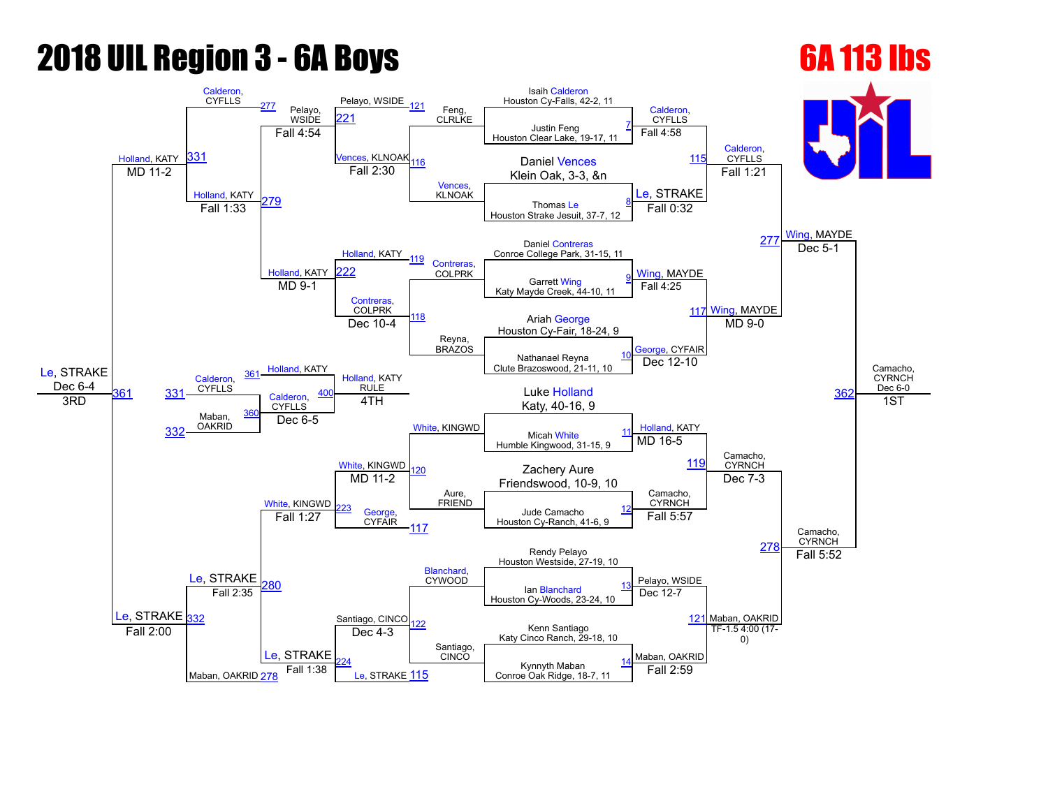## **2018 UIL Region 3 - 6A Boys 6A 113 lbs**

## [Le,](javascript:viewProfile(1103596096)) STRAKE Dec 6-4 [Holland,](javascript:viewProfile(1035512009)) KATY [Calderon,](javascript:viewProfile(4227071)) CYFLLS <sup>[277](javascript:openBoutSheet(17,)</sup> Pelayo, **WSIDE** Pelayo, WSIDE [121](javascript:openBoutSheet(15,) Feng, CLRLKE Isaih [Calderon](javascript:viewProfile(4227071)) Houston Cy-Falls, 42-2, 11 [Calderon,](javascript:viewProfile(4227071)) **CYFLLS** [Calderon,](javascript:viewProfile(4227071)) **CYFLLS** [Wing,](javascript:viewProfile(921312096)) MAYDE Camacho, **CYRNCH** Dec  $6-0$ [331](javascript:openBoutSheet(25,)  $21$ Justin Feng Houston Clear Lake, 19-17, 11 [7](javascript:openBoutSheet(1,) Fall 4:54 **/ences, KLNOAK** [116](javascript:openBoutSheet(10,) [Vences](javascript:viewProfile(1454102009)), KLNOAK Fall 4:58 Daniel Vences [115](javascript:openBoutSheet(9,) MD 11-2 **MD** 11-2 **Rail 2:30 CONFIDENT EXECUTE:** [Holland](javascript:viewProfile(1035512009)), KATY [279](javascript:openBoutSheet(23,) Fall 2:30 [Le](javascript:viewProfile(1103596096)), STRAKE Fall 1:21 Thomas [Le](javascript:viewProfile(1103596096)) Houston Strake Jesuit, 37-7, 12 [8](javascript:openBoutSheet(2,) Fall 1:33 [Holland](javascript:viewProfile(1035512009)), KATY Fall 0:32 Daniel [Contreras](javascript:viewProfile(35331009)) [277](javascript:openBoutSheet(17,) Conroe College Park, 31-15, 11 [Holland](javascript:viewProfile(1035512009)), KATY [119](javascript:openBoutSheet(13,) [Contreras](javascript:viewProfile(35331009)),<br>COLPRK [Wing](javascript:viewProfile(921312096)), MAYDE Dec 5-1 פפ Garrett [Wing](javascript:viewProfile(921312096)) Katy Mayde Creek, 44-10, 11 [9](javascript:openBoutSheet(3,) MD 9-1 [Contreras](javascript:viewProfile(35331009)), COLPRK [118](javascript:openBoutSheet(12,) Reyna, BRAZOS Fall 4:25 [117](javascript:openBoutSheet(11,) [Wing,](javascript:viewProfile(921312096)) MAYDE Ariah [George](javascript:viewProfile(1010194009)) Houston Cy-Fair, 18-24, 9 [Holland](javascript:viewProfile(1035512009)), KATY Dec 10-4 [George](javascript:viewProfile(1010194009)), CYFAIR  $MD<sub>9-0</sub>$ [362](javascript:openBoutSheet(29,) Nathanael Reyna Clute Brazoswood, 21-11, 10 [10](javascript:openBoutSheet(4,) [Calderon,](javascript:viewProfile(4227071)) CYFLLS [361](javascript:openBoutSheet(28,)<sup>-[Holland](javascript:viewProfile(1035512009))</sup>, KATT Holland, KATY **RULE** [White](javascript:viewProfile(1892890096)), KINGWD Dec 12-10 [331](javascript:openBoutSheet(25,) CYFLLS [Calderon,](javascript:viewProfile(4227071)) **CYFLLS Luke [Holland](javascript:viewProfile(1035512009))**  $\overline{R}$  3RD  $\overline{R}$   $\overline{R}$   $\overline{R}$   $\overline{R}$   $\overline{R}$   $\overline{R}$   $\overline{R}$   $\overline{R}$   $\overline{R}$   $\overline{R}$   $\overline{R}$   $\overline{R}$   $\overline{R}$   $\overline{R}$   $\overline{R}$   $\overline{R}$   $\overline{R}$   $\overline{R}$   $\overline{R}$   $\overline{R}$   $\overline{R}$   $\overline{R}$   $\overline{R}$  Maban, **OAKRID** [360](javascript:openBoutSheet(27,) 4TH [Holland,](javascript:viewProfile(1035512009)) KATY Camacho, **CYRNCH** 1ST [332](javascript:openBoutSheet(26,) Dec 6-5 Micah [White](javascript:viewProfile(1892890096)) Humble Kingwood, 31-15, 9 [11](javascript:openBoutSheet(5,) [Le](javascript:viewProfile(1103596096)), STRAKE [White,](javascript:viewProfile(1892890096)) KINGWD<br>MD 11-2 Aure, FRIEND MD 16-5 [119](javascript:openBoutSheet(13,) [Le](javascript:viewProfile(1103596096)), STRAKE [White,](javascript:viewProfile(1892890096)) KINGWD Zachery Aure Friendswood, 10-9, 10 Camacho, **CYRNCH** Dec 7-3 Camacho, **CYRNCH** [George](javascript:viewProfile(1010194009)) **CYFAIR** Jude Camacho Houston Cy-Ranch, 41-6, 9 [12](javascript:openBoutSheet(6,) Fall 1:27 [117](javascript:openBoutSheet(11,) Fall 5:57 [278](javascript:openBoutSheet(20,) Santiago, CINCC Rendy Pelayo Houston Westside, 27-19, 10 [280](javascript:openBoutSheet(24,) [Blanchard](javascript:viewProfile(1291738096)),<br>CYWOOD Pelayo, WSIDE Fall 5:52 Ian [Blanchard](javascript:viewProfile(1291738096)) Houston Cy-Woods, 23-24, 10 [13](javascript:openBoutSheet(7,) [332](javascript:openBoutSheet(26,) Fall 2:35 [122](javascript:openBoutSheet(16,) Santiago, CINCO Dec 12-7 [121](javascript:openBoutSheet(15,) Maban, OAKRID Kenn Santiago Katy Cinco Ranch, 29-18, 10 Fall 2:00 Maban, OAKRID [278](javascript:openBoutSheet(20,) [Le,](javascript:viewProfile(1103596096)) STRAKE Dec 4-3 Maban, OAKRID TF-1.5 4:00 (17-0) [224](javascript:openBoutSheet(22,) [Le,](javascript:viewProfile(1103596096)) STRAKE 115 Kynnyth Maban Fall 1:38  $\begin{array}{|c|c|c|c|c|}\n\hline\n\text{Eql (a) Is a triangle, 133} & \text{Eql (b) Is a triangle, 134, 144} \\
\hline\n\text{Eql (c) Is a triangle, 134, 144} & \text{Eql (c) Is a triangle, 134, 144} \\
\hline\n\text{Eql (d) Is a triangle, 134, 144} & \text{Eql (e) Is a triangle, 134, 144} \\
\hline\n\text{Eql (e) Is a triangle, 134, 144} & \text{Eql (f) Is a triangle, 134, 14$ [14](javascript:openBoutSheet(8,)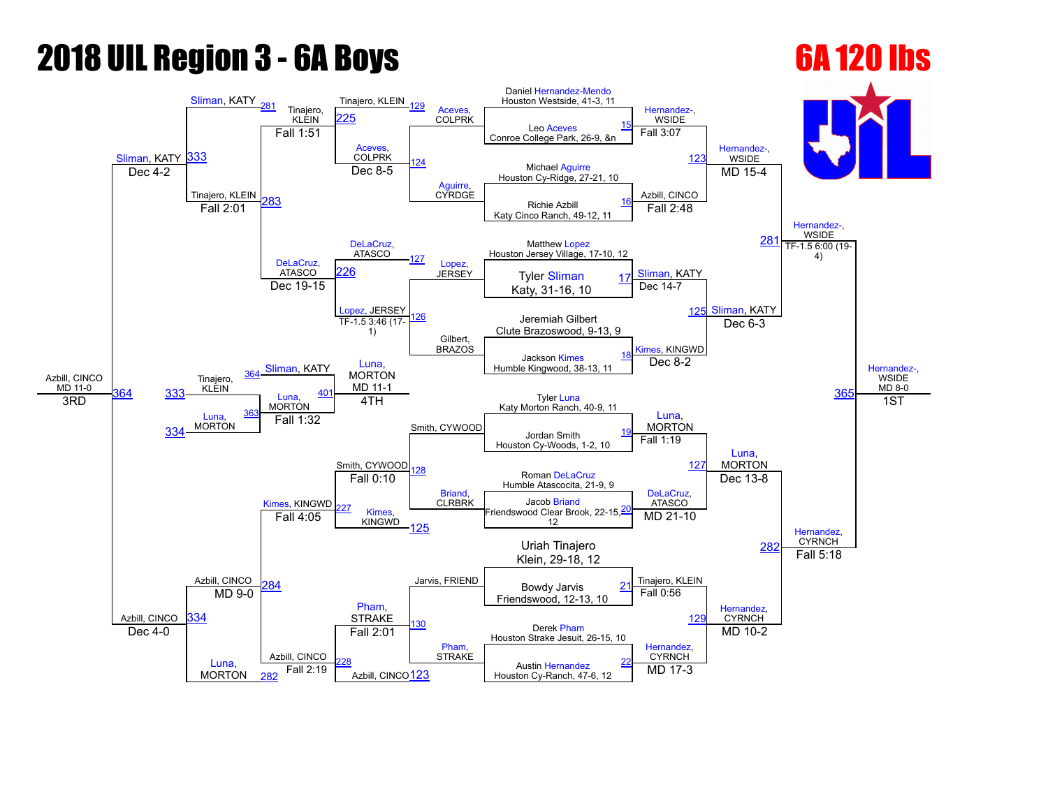# **2018 UIL Region 3 - 6A Boys 6A 120 lbs**

## Azbill, CINCO  $MD$  11-0 [Sliman](javascript:viewProfile(47353076)), KATY [Sliman](javascript:viewProfile(47353076)), KATY [281](javascript:openBoutSheet(17,) Tinajero, **KLEIN** Tinajero, KLEIN [129](javascript:openBoutSheet(15,) [Aceves](javascript:viewProfile(777228096)), **COLPRK** Daniel Hernandez-Mendo Houston Westside, 41-3, 11 [Hernandez,](javascript:viewProfile(2096140009)) **WSIDE** [Hernandez](javascript:viewProfile(2096140009))-. **WSIDE** Hernandez-, **WSIDE** Hernandez-, WSIDE  $MD 8-0$ [333](javascript:openBoutSheet(25,) 25 Leo [Aceves](javascript:viewProfile(777228096)) Conroe College Park, 26-9, &n [15](javascript:openBoutSheet(1,) Fall 1:51 **[Aceves](javascript:viewProfile(777228096))** COLPRK [124](javascript:openBoutSheet(10,) [Aguirre](javascript:viewProfile(537050096)), CYRDGE Fall 3:07 [123](javascript:openBoutSheet(9,) Michael [Aguirre](javascript:viewProfile(537050096)) Dec 4-2 Dec 8-5 Dec 8-5 Michael Aguirre<br>Houston Cy-Ridge, 27-21, 10 Tinajero, KLEIN [283](javascript:openBoutSheet(23,) Dec  $8-5$ Azbill, CINCO MD 15-4 Richie Azbill Katy Cinco Ranch, 49-12, 11 [16](javascript:openBoutSheet(2,) Fall 2:01 [DeLaCruz](javascript:viewProfile(2198123)), **ATASCO** Fall 2:48 Matthew [Lopez](javascript:viewProfile(521244096)) [281](javascript:openBoutSheet(17,) Houston Jersey Village, 17-10, 12 [DeLaCruz](javascript:viewProfile(2198123)), ATASCO [127](javascript:openBoutSheet(13,) [Lopez](javascript:viewProfile(521244096)),<br>JERSEY JERSEY [Sliman](javascript:viewProfile(47353076)), KATY [226](javascript:openBoutSheet(19,) Tyler [Sliman](javascript:viewProfile(47353076)) TF-1.5 6:00 (19-4) Katy, 31-16, 10 <u>AIASCO 220</u> JERSEY Tyler Sliman [17](javascript:openBoutSheet(3,)<br>Dec 19-15 **Dec 19-15** Raty 31-16 10 [Lopez,](javascript:viewProfile(521244096)) JERSEY [126](javascript:openBoutSheet(12,) Gilbert, BRAZOS Dec 14-7 [125](javascript:openBoutSheet(11,) [Sliman](javascript:viewProfile(47353076)), KATY Jeremiah Gilbert Clute Brazoswood, 9-13, 9 [Sliman,](javascript:viewProfile(47353076)) KATY TF-1.5 3:46 (17-1) [Kimes](javascript:viewProfile(1713964096)), KINGWD Dec 6-3 36 Jackson [Kimes](javascript:viewProfile(1713964096)) Humble Kingwood, 38-13, 11 [18](javascript:openBoutSheet(4,) Tinajero, KLEIN [364](javascript:openBoutSheet(28,) [Luna](javascript:viewProfile(39172076)), MORTON MD 11-1 Smith, CYWOOD Dec 8-2 <u>[364](javascript:openBoutSheet(28,) [333](javascript:openBoutSheet(25,) KLEIN [Luna](javascript:viewProfile(39172076)), </u> **MORTON Tyler [Luna](javascript:viewProfile(39172076))** Katy Morton Ranch, 40-9, 11 3RD [Luna](javascript:viewProfile(39172076)), **MORTON** [363](javascript:openBoutSheet(27,) 4TH [Luna](javascript:viewProfile(39172076)), MORTON [Luna,](javascript:viewProfile(39172076)) MORTON 1ST [334](javascript:openBoutSheet(26,) Fall 1:32 Jordan Smith Houston Cy-Woods, 1-2, 10 [19](javascript:openBoutSheet(5,) Azbill, CINCO Smith, CYWOOD [Briand](javascript:viewProfile(1537669096)), **CLRBRK** Fall 1:19 [127](javascript:openBoutSheet(13,) Azbill, CINCO [Kimes,](javascript:viewProfile(1713964096)) KINGWD Roman [DeLaCruz](javascript:viewProfile(2198123)) Humble Atascocita, 21-9, 9 Fall 0:10 [DeLaCruz,](javascript:viewProfile(2198123)) **ATASCO** Dec 13-8 [Hernandez,](javascript:viewProfile(592335096)) **CYRNCH** 27 Kimes KINGWD Jacob [Briand](javascript:viewProfile(1537669096)) Friendswood Clear Brook, 22-15, 12 [20](javascript:openBoutSheet(6,) Fall 4:05 [125](javascript:openBoutSheet(11,) MD 21-10 [282](javascript:openBoutSheet(20,) [Pham,](javascript:viewProfile(1395715009)) **STRAKE** Uriah Tinajero Klein, 29-18, 12 [284](javascript:openBoutSheet(24,) Jarvis, FRIEND<br>Bowdy Jarvis 21 Tinajero, KLEIN Fall 5:18 Friendswood, 12-13, 10 [21](javascript:openBoutSheet(7,) [334](javascript:openBoutSheet(26,)  $MD$  9-0 [130](javascript:openBoutSheet(16,) [Pham](javascript:viewProfile(1395715009)), STRAKE Fall 0:56  $129$ [Hernandez,](javascript:viewProfile(592335096)) CYRNCH Derek [Pham](javascript:viewProfile(1395715009)) Houston Strake Jesuit, 26-15, 10 Dec  $4-0$ [Luna,](javascript:viewProfile(39172076)) **MORTON** Azbill, CINCO Fall 2:01 [Hernandez,](javascript:viewProfile(592335096)) **CYRNCH** MD 10-2 [228](javascript:openBoutSheet(22,) Azbill, CINCO<sub>123</sub> Austin [Hernandez](javascript:viewProfile(592335096)) Fall 2:19 **Absolut Circuit Circuit Cyres** Austin Hernandez<br>Houston Cy-Ranch, 47-6, 12 MD 17-3 [22](javascript:openBoutSheet(8,) [282](javascript:openBoutSheet(20,)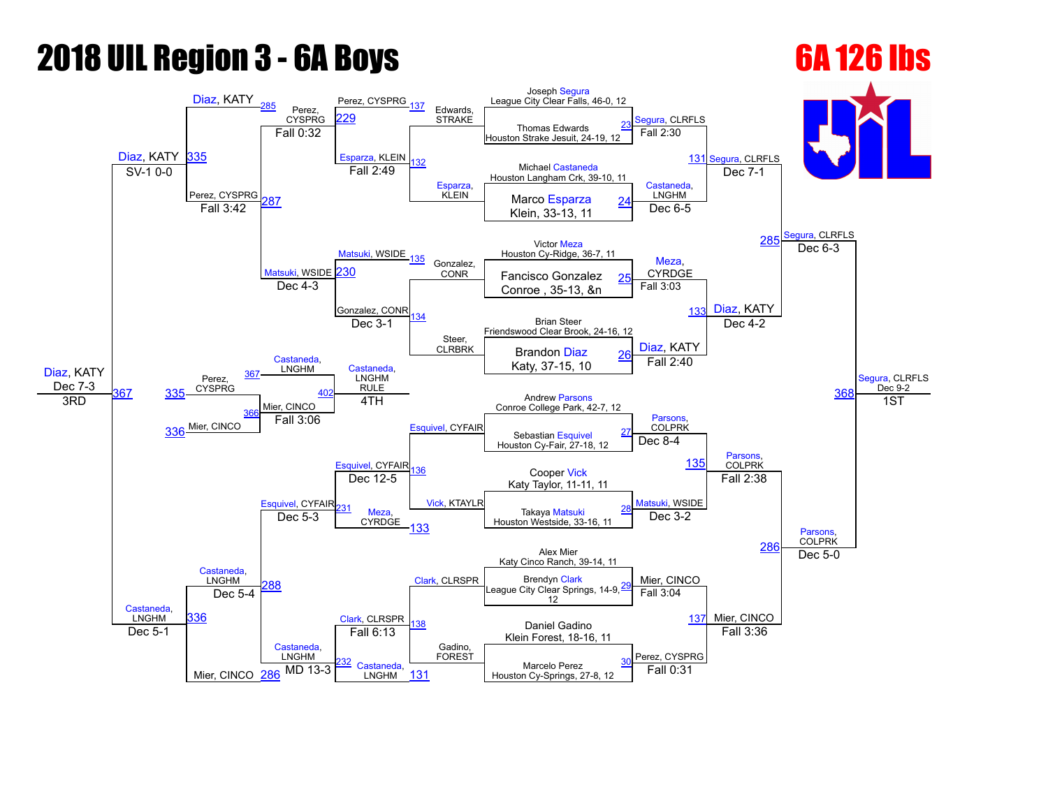# **2018 UIL Region 3 - 6A Boys 6A 126 lbs**

## [Diaz](javascript:viewProfile(1531665096)), KATY Dec 7-3 [Diaz,](javascript:viewProfile(1531665096)) KATY [Diaz,](javascript:viewProfile(1531665096)) KATY [285](javascript:openBoutSheet(17,) Perez, CYSPRG Perez, CYSPRG [137](javascript:openBoutSheet(15,) Edwards, STRAKE Joseph [Segura](javascript:viewProfile(1438676009)) League City Clear Falls, 46-0, 12 [Segura](javascript:viewProfile(1438676009)), CLRFLS [Segura,](javascript:viewProfile(1438676009)) CLRFLS egura, CLRFLS [Segura](javascript:viewProfile(1438676009)), CLRFLS Dec 9-2 [335](javascript:openBoutSheet(25,) [229](javascript:openBoutSheet(18,) Thomas Edwards Houston Strake Jesuit, 24-19, 12 [23](javascript:openBoutSheet(1,) Fall 0:32 [Esparza](javascript:viewProfile(790859096)), KLEIN [Esparza,](javascript:viewProfile(790859096)) KLEIN Fall 2:30 [131](javascript:openBoutSheet(9,) Michael [Castaneda](javascript:viewProfile(618842096)) SV-1 0-0 **Example 21 CRIP CRY** Extending Michael Castaneda<br>Houston Langham Crk, 39-10, 11 Perez, CYSPRG [287](javascript:openBoutSheet(23,) Fall 2:49 [Castaneda](javascript:viewProfile(618842096)), **LNGHM** Dec 7-1 Marco [Esparza](javascript:viewProfile(790859096)) Klein, 33-13, 11  $\frac{1}{2}$  Fall 3:42  $\frac{287}{2}$  Parcel Branch Branch Marco Esparza  $\frac{24}{2}$  $\frac{24}{2}$  $\frac{24}{2}$ [Matsuki,](javascript:viewProfile(2110154009)) WSIDE  $Dec 6-5$ Victor [Meza](javascript:viewProfile(538503096)) [285](javascript:openBoutSheet(17,) Houston Cy-Ridge, 36-7, 11 atsuki, WSIDE 35 Gonzalez, **CONR** [Meza](javascript:viewProfile(538503096)), **CYRDGE** Dec  $6-3$ [230](javascript:openBoutSheet(19,) **Fancisco Gonzalez**<br>Fancisco Gonzalez  $\overline{\text{Dec 4-3}}$  CONR Fancisco Gonzalez [25](javascript:openBoutSheet(3,)<br>Dec 4-3 Conroe , 35-13, &n Gonzalez, CONR [134](javascript:openBoutSheet(12,) Steer, **CLRBRK** Fall 3:03 [133](javascript:openBoutSheet(11,) [Diaz](javascript:viewProfile(1531665096)), KATY Brian Steer Friendswood Clear Brook, 24-16, 12 [Castaneda,](javascript:viewProfile(618842096)) **LNGHM** Dec 3-1 [Diaz](javascript:viewProfile(1531665096)), KATY Dec 4-2 [368](javascript:openBoutSheet(29,) Brandon [Diaz](javascript:viewProfile(1531665096)) Katy, 37-15, 10 [26](javascript:openBoutSheet(4,) Perez, CYSPRG [367](javascript:openBoutSheet(28,) [Castaneda](javascript:viewProfile(618842096)), LNGHM RULE [Esquivel](javascript:viewProfile(74619009)), CYFAIR Fall 2:40 [335](javascript:openBoutSheet(25,) Mier, CINCO **Andrew [Parsons](javascript:viewProfile(1454618009))** Conroe College Park, 42-7, 12 3RD [336](javascript:openBoutSheet(26,) Mier, CINCO [366](javascript:openBoutSheet(27,) 4TH [Parsons](javascript:viewProfile(1454618009)), **COLPRK** [Parsons](javascript:viewProfile(1454618009)), **COLPRK** 1ST Fall 3:06 Sebastian [Esquivel](javascript:viewProfile(74619009)) Houston Cy-Fair, 27-18, 12 [27](javascript:openBoutSheet(5,) [Castaneda,](javascript:viewProfile(618842096)) LNGHM [Esquivel,](javascript:viewProfile(74619009)) CYFAIR [Vick,](javascript:viewProfile(1103659096)) KTAYLR Dec 8-4 [135](javascript:openBoutSheet(13,) [Castaneda,](javascript:viewProfile(618842096)) LNGHM [Esquivel,](javascript:viewProfile(74619009)) CYFAIR Cooper [Vick](javascript:viewProfile(1103659096)) Katy Taylor, 11-11, 11 Dec 12-5 [Matsuki,](javascript:viewProfile(2110154009)) WSIDE Fall 2:38 [Parsons,](javascript:viewProfile(1454618009)) **COLPRK** [231](javascript:openBoutSheet(21,) [Meza](javascript:viewProfile(538503096)), **CYRDGE** Takaya [Matsuki](javascript:viewProfile(2110154009)) Houston Westside, 33-16, 11 [28](javascript:openBoutSheet(6,) Dec 5-3 [133](javascript:openBoutSheet(11,) Dec 3-2 [286](javascript:openBoutSheet(20,) [Clark](javascript:viewProfile(777222096)), CLRSPR Alex Mier Katy Cinco Ranch, 39-14, 11 [288](javascript:openBoutSheet(24,) [Clark,](javascript:viewProfile(777222096)) CLRSPR Brendyn Clark<br>League City Clear Springs, 14-9, 29 Fall 3:04 Dec  $5-0$ Brendyn [Clark](javascript:viewProfile(777222096)) 12 [29](javascript:openBoutSheet(7,) [336](javascript:openBoutSheet(26,) Dec 5-4 [138](javascript:openBoutSheet(16,) Gadino, FOREST Fall 3:04 [137](javascript:openBoutSheet(15,) Mier, CINCO Daniel Gadino Klein Forest, 18-16, 11 Dec 5-1 Mier, CINCO [Castaneda](javascript:viewProfile(618842096)), LNGHM Fall 6:13 Perez, CYSPRG Fall 3:36 [Castaneda](javascript:viewProfile(618842096)), **LNGHM** Marcelo Perez  $\frac{286}{286}$  $\frac{286}{286}$  $\frac{286}{286}$  MD 13-3  $\frac{3}{28}$  Castaneda,  $\frac{131}{281}$  $\frac{131}{281}$  $\frac{131}{281}$  Houston Cy-Springs, 27-8, 12 Fall 0:31 [30](javascript:openBoutSheet(8,)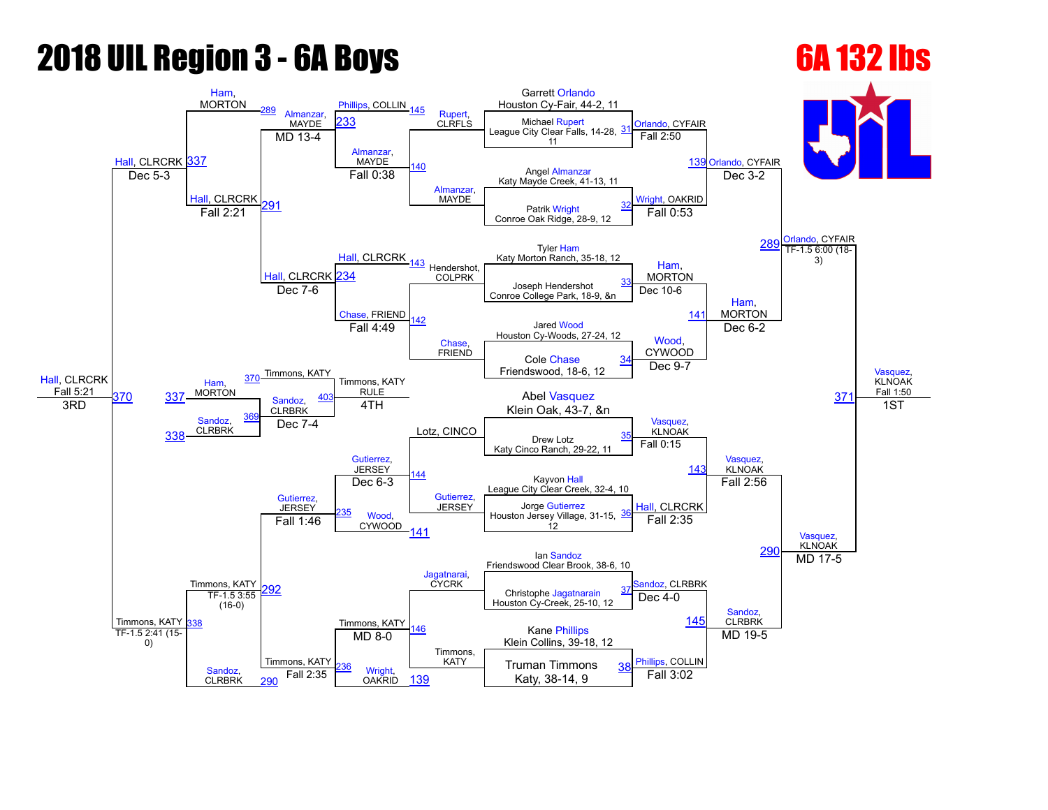## **2018 UIL Region 3 - 6A Boys 6A 132 lbs**

## [Hall,](javascript:viewProfile(1552740096)) CLRCRK Fall 5:21 [Hall,](javascript:viewProfile(1552740096)) CLRCRK [337](javascript:openBoutSheet(25,) [Ham](javascript:viewProfile(1490371009)), MORTON [289](javascript:openBoutSheet(17,) [Almanzar,](javascript:viewProfile(921301096)) **MAYDE** [Phillips,](javascript:viewProfile(790682096)) COLLIN [145](javascript:openBoutSheet(15,) [Rupert](javascript:viewProfile(629948096)),<br>233 CLRELS CLRFLS Garrett [Orlando](javascript:viewProfile(1010193009)) Houston Cy-Fair, 44-2, 11 [Orlando,](javascript:viewProfile(1010193009)) CYFAIR [Orlando,](javascript:viewProfile(1010193009)) CYFAIR [Orlando,](javascript:viewProfile(1010193009)) CYFAIR [Vasquez,](javascript:viewProfile(14093107)) **KLNOAK** Fall 1:50 Michael [Rupert](javascript:viewProfile(629948096)) League City Clear Falls, 14-28, 11 [31](javascript:openBoutSheet(1,) MD 13-4 [Almanzar](javascript:viewProfile(921301096)), MAYDE [140](javascript:openBoutSheet(10,) [Almanzar](javascript:viewProfile(921301096)), **MAYDE** Fall 2:50 [139](javascript:openBoutSheet(9,) Angel [Almanzar](javascript:viewProfile(921301096)) Eall 0:38 Fail 0:38 Report of the CFE of the Creek, 41-13, 11 Dec 5-3 **[Hall](javascript:viewProfile(1552740096)), CLRCRK** [291](javascript:openBoutSheet(23,) Fall 0:38 [Wright,](javascript:viewProfile(504471096)) OAKRID Dec 3-2 Patrik [Wright](javascript:viewProfile(504471096)) Conroe Oak Ridge, 28-9, 12 [32](javascript:openBoutSheet(2,) Fall 2:21 [Hall,](javascript:viewProfile(1552740096)) CLRCRK Fall 0:53 Tyler [Ham](javascript:viewProfile(1490371009)) [289](javascript:openBoutSheet(17,) Katy Morton Ranch, 35-18, 12 [Hall](javascript:viewProfile(1552740096)), CLRCRK [234](javascript:openBoutSheet(19,) 43 Hendershot. COLPRK [Ham,](javascript:viewProfile(1490371009)) MORTON TF-1.5 6:00 (18-3) Joseph Hendershot Conroe College Park, 18-9, &n [33](javascript:openBoutSheet(3,) Dec 7-6 [Chase,](javascript:viewProfile(1010200009)) FRIEND [142](javascript:openBoutSheet(12,) [Chase](javascript:viewProfile(1010200009)), FRIEND Dec 10-6 [141](javascript:openBoutSheet(11,) [Ham,](javascript:viewProfile(1490371009)) MORTON Jared [Wood](javascript:viewProfile(1755901096)) Houston Cy-Woods, 27-24, 12 370 Timmons, KATY Fall 4:49 [Wood](javascript:viewProfile(1755901096)), CYWOOD Dec 6-2 [371](javascript:openBoutSheet(29,) Cole [Chase](javascript:viewProfile(1010200009)) Friendswood, 18-6, 12 [34](javascript:openBoutSheet(4,) [Ham](javascript:viewProfile(1490371009)), [370](javascript:openBoutSheet(28,) [337](javascript:openBoutSheet(25,) MORTON [Sandoz,](javascript:viewProfile(1441868009)) Timmons, KATY RULE Lotz, CINCO Dec 9-7 **CLRBRK** Abel [Vasquez](javascript:viewProfile(14093107))  $\overline{3RD}$   $\overline{351}$   $\overline{381}$   $\overline{381}$   $\overline{47}$   $\overline{47}$   $\overline{47}$   $\overline{47}$   $\overline{47}$   $\overline{47}$   $\overline{47}$   $\overline{47}$   $\overline{47}$   $\overline{47}$   $\overline{47}$   $\overline{47}$   $\overline{47}$   $\overline{47}$   $\overline{47}$   $\overline{47}$   $\overline{47}$   $\overline{47}$ [Sandoz,](javascript:viewProfile(1441868009)) **CLRBRK** [369](javascript:openBoutSheet(27,) 4TH [Vasquez,](javascript:viewProfile(14093107)) KLNOAK [Vasquez](javascript:viewProfile(14093107)), KLNOAK 1ST [338](javascript:openBoutSheet(26,) Dec 7-4 Drew Lotz Katy Cinco Ranch, 29-22, 11 [35](javascript:openBoutSheet(5,) Timmons, KATY [Gutierrez](javascript:viewProfile(559242009)), **JERSEY** [144](javascript:openBoutSheet(14,) [Gutierrez](javascript:viewProfile(559242009)), JERSEY Fall 0:15 <u>14</u> Timmons, KATY [Gutierrez](javascript:viewProfile(559242009)), JERSEY Kayvon [Hall](javascript:viewProfile(1552740096)) League City Clear Creek, 32-4, 10 Dec  $6-3$ [Hall](javascript:viewProfile(1552740096)), CLRCRK Fall 2:56 [Vasquez](javascript:viewProfile(14093107)), KLNOAK [Wood,](javascript:viewProfile(1755901096)) **CYWOOD** Jorge [Gutierrez](javascript:viewProfile(559242009)) Houston Jersey Village, 31-15, 12 [36](javascript:openBoutSheet(6,) Fall 1:46 [141](javascript:openBoutSheet(11,) Fall 2:35 [290](javascript:openBoutSheet(20,) Timmons, KATY Ian [Sandoz](javascript:viewProfile(1441868009)) Friendswood Clear Brook, 38-6, 10 [292](javascript:openBoutSheet(24,) [Jagatnarai,](javascript:viewProfile(33268076))<br>CYCRK andoz, CLRBRK MD 17-5 Christophe [Jagatnarain](javascript:viewProfile(33268076))<br>Houston Cy-Creek, 25-10, 12 [37](javascript:openBoutSheet(7,) [338](javascript:openBoutSheet(26,) TF-1.5 3:55  $(16-0)$ [146](javascript:openBoutSheet(16,) Timmons, KATY Dec  $4-0$ <u>[145](javascript:openBoutSheet(15,)</u> [Sandoz,](javascript:viewProfile(1441868009)) **CLRBRK** Kane [Phillips](javascript:viewProfile(790682096)) Klein Collins, 39-18, 12 TF-1.5 2:41 (15-0) [Sandoz](javascript:viewProfile(1441868009)), **CLRBRK** Timmons, KATY  $MD 8-0$ [Phillips](javascript:viewProfile(790682096)), COLLIN MD 19-5 Wright **OAKRID** Truman Timmons Fall 2:35  $\frac{W}{V}$   $\frac{W}{V}$   $\frac{W}{V}$   $\frac{139}{2}$  $\frac{139}{2}$  $\frac{139}{2}$  Fall 3:02 [38](javascript:openBoutSheet(8,) [290](javascript:openBoutSheet(20,)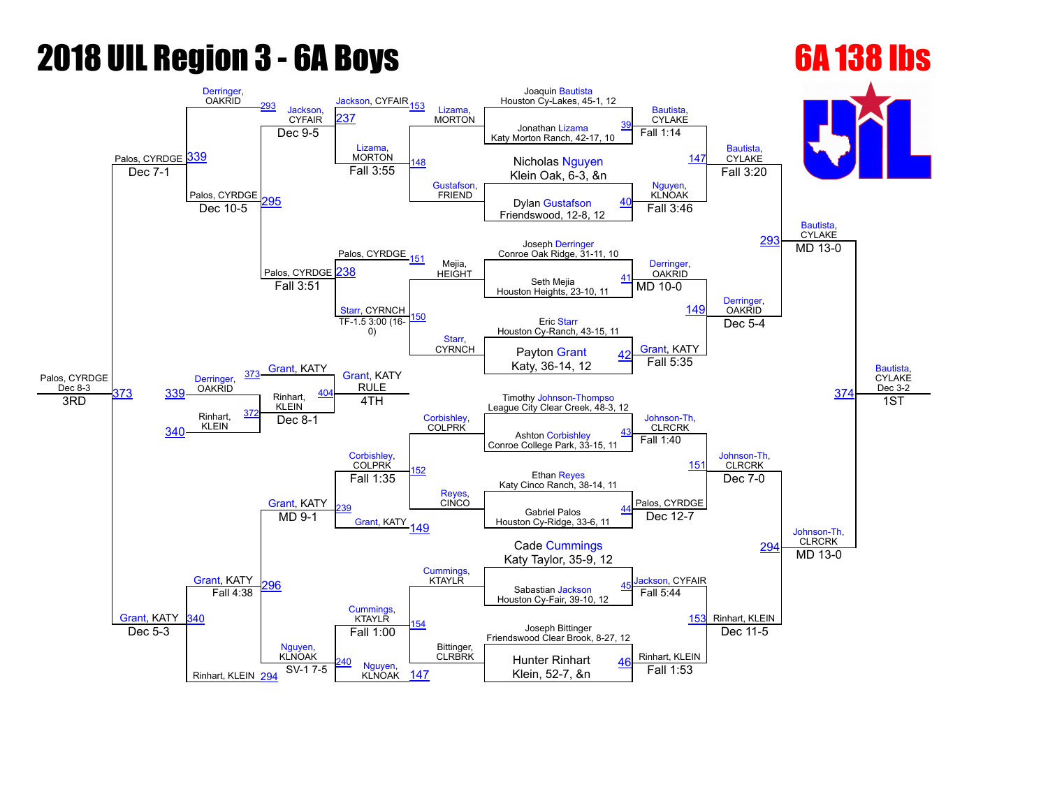## **2018 UIL Region 3 - 6A Boys 6A 138 lbs**

Rinhart, KLEIN [294](javascript:openBoutSheet(20,)

## Palos, CYRDGE [Derringer,](javascript:viewProfile(632307096))<br>OAKRID [293](javascript:openBoutSheet(17,) [Jackson,](javascript:viewProfile(1163325096)) **CYFAIR** [Jackson](javascript:viewProfile(1163325096)), CYFAIR<sub>[153](javascript:openBoutSheet(15,)</sub> [Lizama,](javascript:viewProfile(2100027009)) **MORTON** Joaquin [Bautista](javascript:viewProfile(73516009)) Houston Cy-Lakes, 45-1, 12 [Bautista](javascript:viewProfile(73516009)), **CYLAKE** [Bautista](javascript:viewProfile(73516009)), **CYLAKE** [Bautista,](javascript:viewProfile(73516009)) **CYLAKE** [Bautista,](javascript:viewProfile(73516009)) CYLAKE Dec 3-2 [339](javascript:openBoutSheet(25,) 37 Jonathan [Lizama](javascript:viewProfile(2100027009)) Katy Morton Ranch, 42-17, 10 [39](javascript:openBoutSheet(1,) Dec 9-5 [Lizama,](javascript:viewProfile(2100027009)) **MORTON** [Gustafson,](javascript:viewProfile(544814096)) **FRIEND** Fall 1:14 Nicholas [Nguyen](javascript:viewProfile(17154071)) [147](javascript:openBoutSheet(9,) Dec 7-1 **Dec 7-1 CONFIDENT CONFIDENT CONFIDENT CONFIDENT CONFIDENT CONFIDENT CONFIDENT CONFIDENT CONFIDENT CONFIDENT** Palos, CYRDGE 95 Fall 3:55 [Nguyen](javascript:viewProfile(17154071)), **KLNOAK** Fall 3:20 Dylan [Gustafson](javascript:viewProfile(544814096)) Electric Maria Dylan Gustafson [40](javascript:openBoutSheet(2,)<br>Dec 10-5 **Primeries** Dec 10-5 **Primeries** Dylan Gustafson 40 Palos, CYRDGE Fall 3:46 Joseph [Derringer](javascript:viewProfile(632307096)) [293](javascript:openBoutSheet(17,) Conroe Oak Ridge, 3111, 10 Palos, CYRDGE 51 Mejia. **HEIGHT** [Derringer](javascript:viewProfile(632307096)), **OAKRID**  $MD$  13-0 [238](javascript:openBoutSheet(19,) Seth Mejia Houston Heights, 23-10, 11 [41](javascript:openBoutSheet(3,) Fall 3:51 [Starr,](javascript:viewProfile(1532148096)) CYRNCH [150](javascript:openBoutSheet(12,) [Starr,](javascript:viewProfile(1532148096)) **CYRNCH** MD 10-0  $149$ [Derringer,](javascript:viewProfile(632307096)) **OAKRID** Eric [Starr](javascript:viewProfile(1532148096)) Houston Cy-Ranch, 43-15, 11 [Grant](javascript:viewProfile(1101944096)), KATY TF-1.5 3:00 (16-0) [Grant,](javascript:viewProfile(1101944096)) KATY Dec 5-4 [374](javascript:openBoutSheet(29,) Payton [Grant](javascript:viewProfile(1101944096)) Katy, 36-14, 12 [42](javascript:openBoutSheet(4,) [Derringer,](javascript:viewProfile(632307096)) **OAKRID [373](javascript:openBoutSheet(28,)** [Grant,](javascript:viewProfile(1101944096)) KATY RULE [Corbishley](javascript:viewProfile(73505009)), COLPRK Fall 5:35 KLEIN Timothy Johnson-Thompso League City Clear Creek, 48-3, 12 Rinhart, KLEIN <u>37</u> 4TH Johnson-Th, CLRCRK Johnson-Th, CLRCRK 1ST [340](javascript:openBoutSheet(26,) Dec 8-1 Ashton [Corbishley](javascript:viewProfile(73505009)) Conroe College Park, 33-15, 11 [43](javascript:openBoutSheet(5,) [Grant](javascript:viewProfile(1101944096)), KATY [Corbishley,](javascript:viewProfile(73505009)) **COLPRK** [152](javascript:openBoutSheet(14,) [Reyes,](javascript:viewProfile(1133107096)) **CINCO** Fall 1:40 [151](javascript:openBoutSheet(13,) [Grant](javascript:viewProfile(1101944096)), KATY Ethan [Reyes](javascript:viewProfile(1133107096)) Katy Cinco Ranch, 38-14, 11 Fall 1:35 Palos, CYRDGE Dec 7-0 Johnson-Th, CLRCRK [239](javascript:openBoutSheet(21,) [Grant](javascript:viewProfile(1101944096)), KATY<sub>[149](javascript:openBoutSheet(11,)</sub> Gabriel Palos Houston Cy-Ridge, 33-6, 11 [44](javascript:openBoutSheet(6,) MD 9-1 Dec 12-7 29 Cade [Cummings](javascript:viewProfile(547397096)) Katy Taylor, 35-9, 12 [296](javascript:openBoutSheet(24,) [Cummings,](javascript:viewProfile(547397096))<br>KTAYLR ackson, CYFAIR MD 13-0 Sabastian [Jackson](javascript:viewProfile(1163325096)) [45](javascript:openBoutSheet(7,)

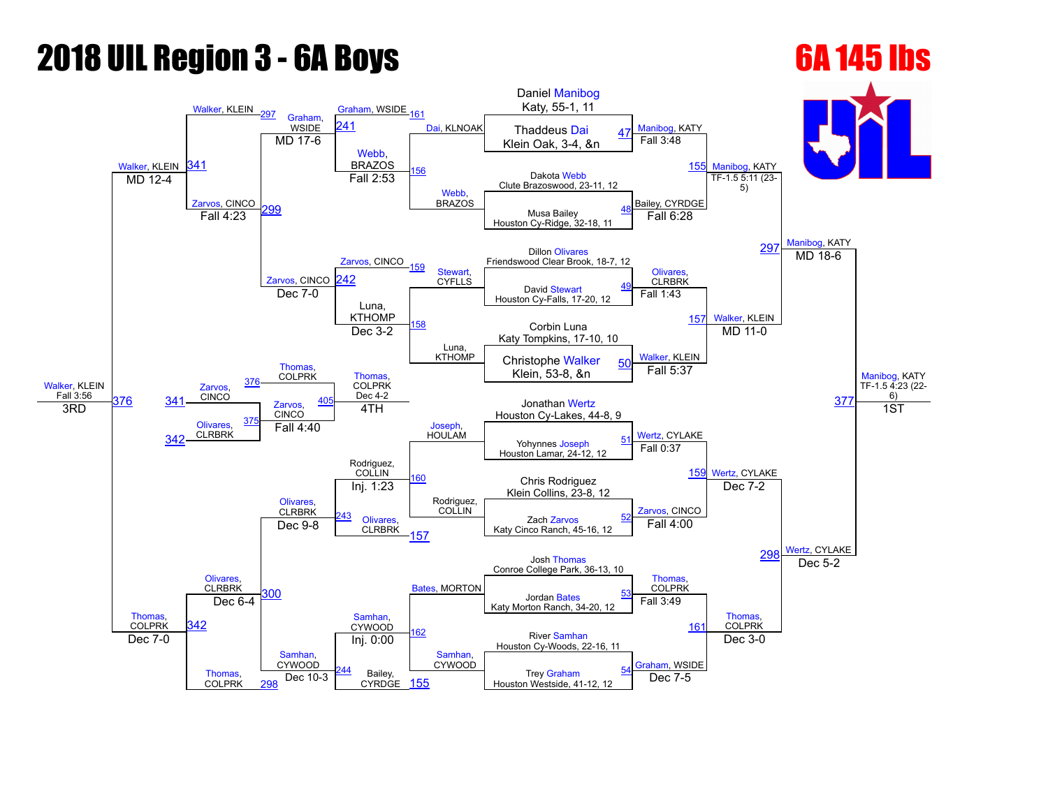# **2018 UIL Region 3 - 6A Boys 6A 145 lbs**

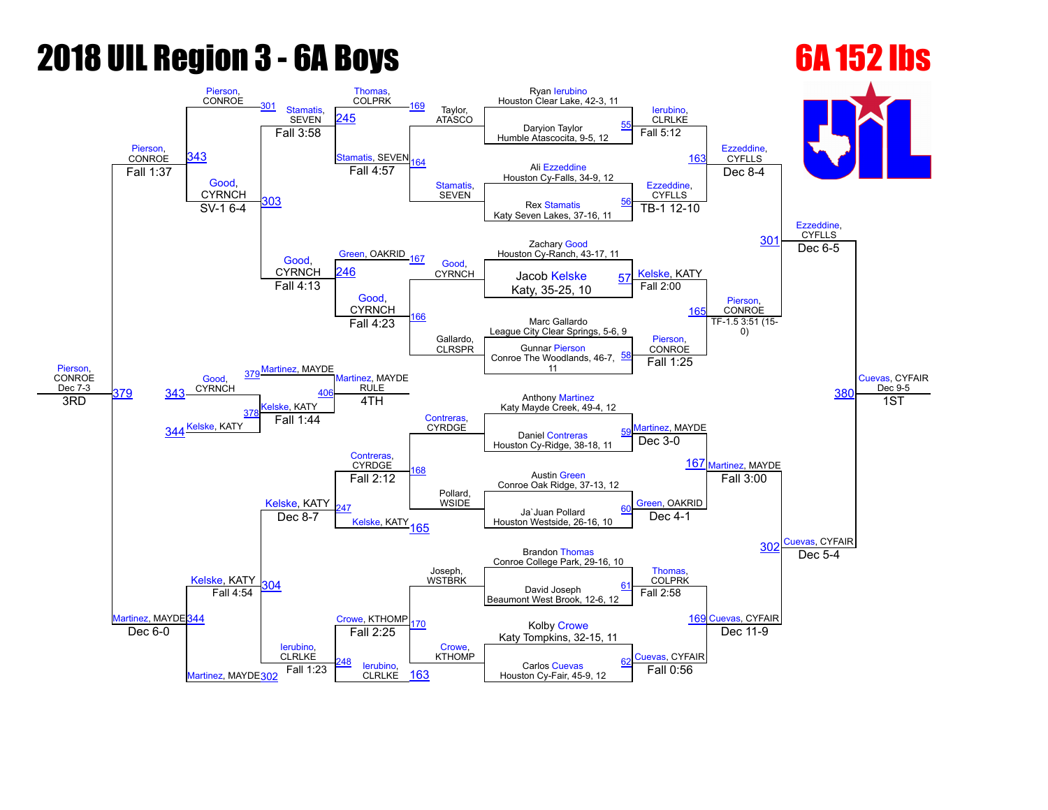## **2018 UIL Region 3 - 6A Boys 6A 152 lbs**

## [Pierson](javascript:viewProfile(1623071)), **CONROE** Dec 7-3 [Pierson](javascript:viewProfile(1623071)), **CONROE** [Pierson,](javascript:viewProfile(1623071)) CONROE [301](javascript:openBoutSheet(17,) [Stamatis](javascript:viewProfile(2110245009)), **SEVEN Thomas** COLPRK [169](javascript:openBoutSheet(15,) Taylor, ATASCO Ryan [Ierubino](javascript:viewProfile(2045071)) Houston Clear Lake, 42-3, 11 [Ierubino](javascript:viewProfile(2045071)), **CLRLKE** [Ezzeddine](javascript:viewProfile(245841096)), **CYFLLS** [Ezzeddine](javascript:viewProfile(245841096)), **CYFLLS** [Cuevas,](javascript:viewProfile(15312107)) CYFAIR Dec 9-5 [343](javascript:openBoutSheet(25,) [245](javascript:openBoutSheet(18,) Daryion Taylor Humble Atascocita, 9-5, 12 [55](javascript:openBoutSheet(1,) Fall 3:58 tamatis, SEVEN **Stamatis SEVEN** Fall 5:12 [163](javascript:openBoutSheet(9,) Ali [Ezzeddine](javascript:viewProfile(245841096)) Houston Cy-Falls, 34-9, 12 Fall 1:37 [Good,](javascript:viewProfile(982597009)) **CYRNCH** [303](javascript:openBoutSheet(23,) Fall 4:57 [Ezzeddine](javascript:viewProfile(245841096)), **CYFLLS** Dec 8-4 Rex [Stamatis](javascript:viewProfile(2110245009)) Katy Seven Lakes, 37-16, 11 [56](javascript:openBoutSheet(2,)  $SV-16-4$ [Green,](javascript:viewProfile(360720132)) OAKRID TB-1 12-10 Zachary [Good](javascript:viewProfile(982597009)) 30<sup>1</sup> [Good](javascript:viewProfile(982597009)), Green, OAKRID 167 Good, Houston Cy-Ranch, 43-17, 11<br>EXRICH 246 CYRICH LOOD Koloko **CYRNCH** [Good](javascript:viewProfile(982597009)),<br>CYRNCH CYRNCH [Kelske](javascript:viewProfile(1549701096)), KATY [246](javascript:openBoutSheet(19,) Jacob [Kelske](javascript:viewProfile(1549701096)) Dec 6-5  $\begin{array}{c|c|c|c|c|c} \hline \text{CHNICH} & \text{Jacob Kelske} & \text{57} \ \hline \text{Fall 4:13} & \text{S} & \text{Katy, 35-25, 10} \end{array}$  $\begin{array}{c|c|c|c|c|c} \hline \text{CHNICH} & \text{Jacob Kelske} & \text{57} \ \hline \text{Fall 4:13} & \text{S} & \text{Katy, 35-25, 10} \end{array}$  $\begin{array}{c|c|c|c|c|c} \hline \text{CHNICH} & \text{Jacob Kelske} & \text{57} \ \hline \text{Fall 4:13} & \text{S} & \text{Katy, 35-25, 10} \end{array}$ [Good,](javascript:viewProfile(982597009)) **CYRNCH** [166](javascript:openBoutSheet(12,) Gallardo, CLRSPR Fall 2:00 16 [Pierson,](javascript:viewProfile(1623071)) **CONROE** Marc Gallardo League City Clear Springs, 5-6, 9 [Martinez,](javascript:viewProfile(1988712009)) MAYDE Fall 4:23 [Pierson,](javascript:viewProfile(1623071)) **CONROE** TF-1.5 3:51 (15-0) 38 Gunnar [Pierson](javascript:viewProfile(1623071)) Conroe The Woodlands, 46-7, 11 [58](javascript:openBoutSheet(4,) [Good,](javascript:viewProfile(982597009)) **CYRNCH** [379](javascript:openBoutSheet(28,) [Martinez,](javascript:viewProfile(1988712009)) MATDL Martinez, MAYDE RULE [Contreras,](javascript:viewProfile(630130096)) CYRDGE Fall 1:25 [379](javascript:openBoutSheet(28,) elske, KATY **Anthony [Martinez](javascript:viewProfile(1988712009))** Katy Mayde Creek, 49-4, 12 3RD 344 <sup>[Kelske](javascript:viewProfile(1549701096)), KATY</sup> [378](javascript:openBoutSheet(27,) 4TH [Martinez,](javascript:viewProfile(1988712009)) MAYDE [Martinez](javascript:viewProfile(1988712009)), MAYDE 1ST Fall 1:44 Daniel [Contreras](javascript:viewProfile(630130096)) Houston Cy-Ridge, 38-18, 11 [59](javascript:openBoutSheet(5,) [Kelske](javascript:viewProfile(1549701096)), KATY [Contreras,](javascript:viewProfile(630130096)) CYRDGE [168](javascript:openBoutSheet(14,) Pollard, **WSIDE** Dec  $3-0$ [167](javascript:openBoutSheet(13,) [Martinez](javascript:viewProfile(1988712009)), MAYDE [344](javascript:openBoutSheet(26,) [Kelske,](javascript:viewProfile(1549701096)) KATY Austin [Green](javascript:viewProfile(360720132)) Conroe Oak Ridge, 37-13, 12 Fall 2:12 [Green](javascript:viewProfile(360720132)), OAKRID Fall 3:00 uevas, CYFAIR [247](javascript:openBoutSheet(21,) [Kelske,](javascript:viewProfile(1549701096)) KATY [165](javascript:openBoutSheet(11,) Ja`Juan Pollard Houston Westside, 26-16, 10 [60](javascript:openBoutSheet(6,) Dec 8-7 Dec 4-1 30 [Crowe](javascript:viewProfile(1035515009)), KTHOMP Brandon [Thomas](javascript:viewProfile(606037009)) Conroe College Park, 29-16, 10 [304](javascript:openBoutSheet(24,) Joseph, WSTBRK [Thomas](javascript:viewProfile(606037009)), **COLPRK** Dec 5-4 David Joseph Beaumont West Brook, 12-6, 12 [61](javascript:openBoutSheet(7,) Fall 4:54 [170](javascript:openBoutSheet(16,) [Crowe](javascript:viewProfile(1035515009)), KTHOMP Fall 2:58 [169](javascript:openBoutSheet(15,) [Cuevas](javascript:viewProfile(15312107)), CYFAIR Kolby [Crowe](javascript:viewProfile(1035515009)) Katy Tompkins, 32-15, 11 Dec  $6-0$ [Martinez](javascript:viewProfile(1988712009)), MAYDE[302](javascript:openBoutSheet(20,) [Ierubino](javascript:viewProfile(2045071)), **CLRLKE** Fall 2:25 [Cuevas](javascript:viewProfile(15312107)), CYFAIR Dec 11-9 [248](javascript:openBoutSheet(22,) [Ierubino,](javascript:viewProfile(2045071)) **CLRLKE** Carlos [Cuevas](javascript:viewProfile(15312107)) Fall 1:23 **Fall Digital Callege Carlos Cuevas**<br>CLRLKE [163](javascript:openBoutSheet(9,) Houston Cy-Fair, 45-9, 12 Fall 0:56 [62](javascript:openBoutSheet(8,)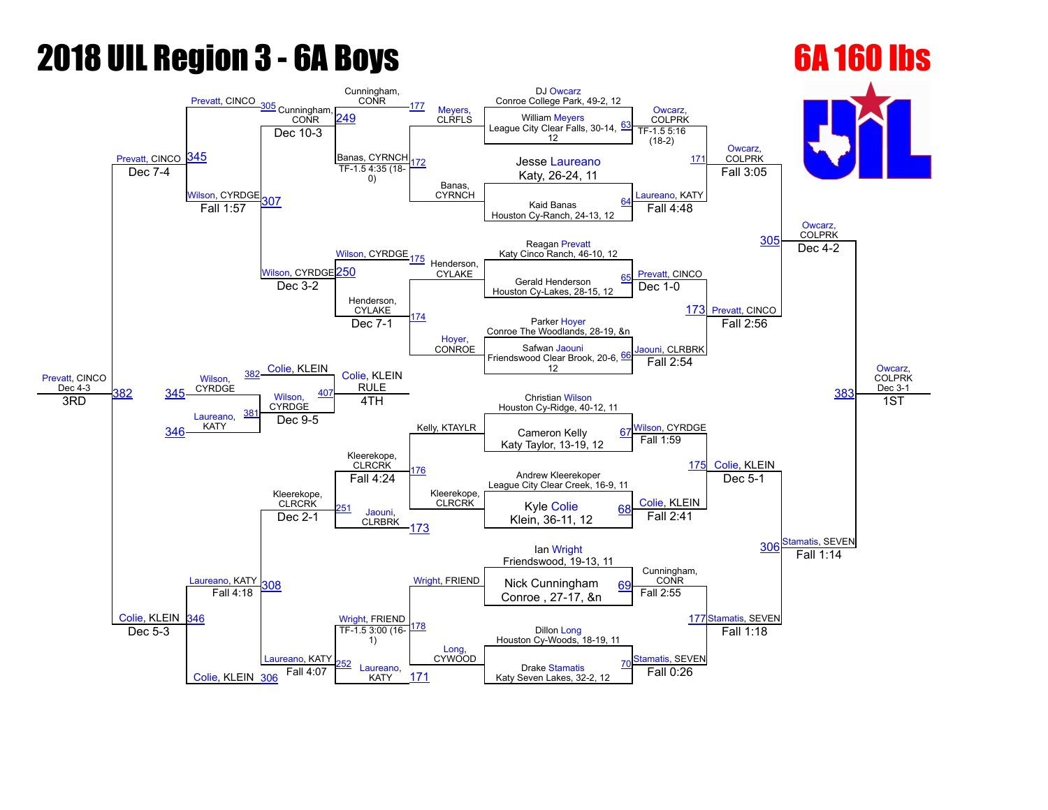## **2018 UIL Region 3 - 6A Boys 6A 160 lbs**

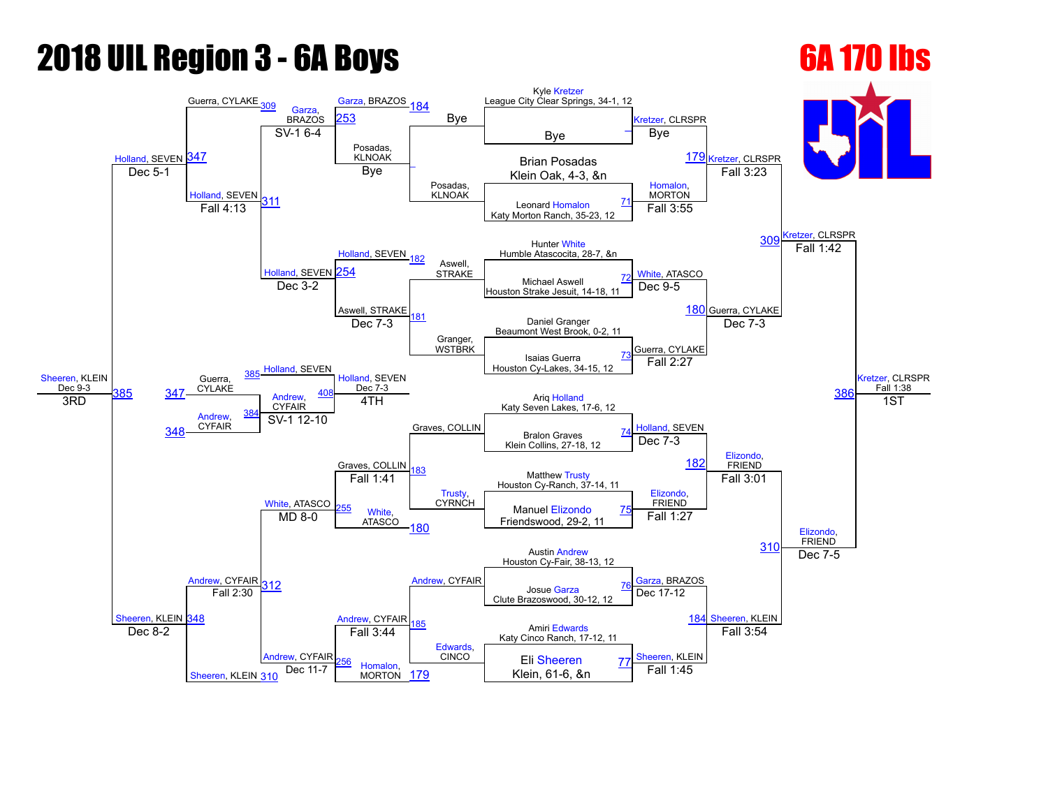# **2018 UIL Region 3 - 6A Boys 6A 170 lbs**

[Sheeren,](javascript:viewProfile(75437009)) KLEIN [310](javascript:openBoutSheet(20,)

## [Sheeren](javascript:viewProfile(75437009)), KLEIN Dec 9-3 [Holland,](javascript:viewProfile(1098653096)) SEVEN [347](javascript:openBoutSheet(25,) Guerra, CYLAKE [309](javascript:openBoutSheet(17,) [Garza,](javascript:viewProfile(1551289096)) BRAZOS [Garza](javascript:viewProfile(1551289096)), BRAZOS [184](javascript:openBoutSheet(15,) Bye Kyle [Kretzer](javascript:viewProfile(1794159009)) League City Clear Springs, 34-1, 12 [Kretzer,](javascript:viewProfile(1794159009)) CLRSPR 179 [Kretzer,](javascript:viewProfile(1794159009)) CLRSPR [Kretzer](javascript:viewProfile(1794159009)), CLRSPR [Kretzer](javascript:viewProfile(1794159009)), CLRSPR Fall 1:38 [253](javascript:openBoutSheet(18,) Bye [\\_](javascript:openBoutSheet(1,)  $SV-16-4$ Posadas, KLNOAK  $\overline{\phantom{a}}$ Posadas, KLNOAK Bye **Brian Posadas** Dec 5-1 Records and Bye Figure 2012 and School School School School School School School School School School School School School School School School School School School School School School School School School School **Iolland, SEVEN** [311](javascript:openBoutSheet(23,) Bye [Homalon](javascript:viewProfile(2090606009)), **MORTON** Fall 3:23 Leonard [Homalon](javascript:viewProfile(2090606009)) Katy Morton Ranch, 35-23, 12 [71](javascript:openBoutSheet(2,) Fall 4:13 [Holland](javascript:viewProfile(1098653096)), SEVEN<sub>182</sub> Fall 3:55 Hunter [White](javascript:viewProfile(318448132)) [309](javascript:openBoutSheet(17,) Humble Atascocita, 28-7, &n **[Holland](javascript:viewProfile(1098653096)), SEVEN** Aswell,<br>STRAKE [White](javascript:viewProfile(318448132)), ATASCO Fall 1:42 [254](javascript:openBoutSheet(19,) Michael Aswell Houston Strake Jesuit, 14-18, 11 [72](javascript:openBoutSheet(3,) Dec 3-2 Aswell, STRAKE [181](javascript:openBoutSheet(12,) Granger, WSTBRK Dec 9-5 [180](javascript:openBoutSheet(11,) Guerra, CYLAKE Daniel Granger Beaumont West Brook, 0-2, 11 [Holland](javascript:viewProfile(1098653096)), SEVEN Dec 7-3 Guerra, CYLAKE Dec 7-3 [386](javascript:openBoutSheet(29,) Isaias Guerra Houston Cy-Lakes, 34-15, 12 [73](javascript:openBoutSheet(4,) Guerra, **CYLAKE** [385](javascript:openBoutSheet(28,) [Holland](javascript:viewProfile(1098653096)), SEVEN Holland, SEVEN Dec 7-3 Graves, COLLIN Fall 2:27  $\frac{347}{2}$  $\frac{347}{2}$  $\frac{347}{2}$  CTLANE [Andrew,](javascript:viewProfile(1163656096)) **CYFAIR** Arig [Holland](javascript:viewProfile(1098653096))<br>
4TH Arig Holland<br>
4TH Katy Seven Lakes, 17-6, 12 3RD [Andrew,](javascript:viewProfile(1163656096)) CYFAIR [384](javascript:openBoutSheet(27,) 4TH [Holland,](javascript:viewProfile(1098653096)) SEVEN [Elizondo](javascript:viewProfile(139840096)), FRIEND 1ST [348](javascript:openBoutSheet(26,) SV-1 12-10 Bralon Graves Klein Collins, 27-18, 12 [74](javascript:openBoutSheet(5,) [Andrew,](javascript:viewProfile(1163656096)) CYFAIR Graves, COLLIN [Trusty](javascript:viewProfile(1554517096)), **CYRNCH** Dec 7-3 18<sup>2</sup> [Sheeren,](javascript:viewProfile(75437009)) KLEIN [348](javascript:openBoutSheet(26,) [White](javascript:viewProfile(318448132)), ATASCO **Matthew [Trusty](javascript:viewProfile(1554517096))** Houston Cy-Ranch, 37-14, 11 Fall 1:41 [Elizondo,](javascript:viewProfile(139840096)) FRIEND Fall 3:01 [Elizondo](javascript:viewProfile(139840096)), **FRIEND** 55 White ATASCO Manuel [Elizondo](javascript:viewProfile(139840096)) MD 8-0 255 White, Manuel Elizondo [75](javascript:openBoutSheet(6,)<br>MD 8-0 4TASCO <sub>1.00</sub> Friendswood, 29-2, 11 [180](javascript:openBoutSheet(11,) Fall 1:27 [310](javascript:openBoutSheet(20,) [Andrew,](javascript:viewProfile(1163656096)) CYFAIR Austin [Andrew](javascript:viewProfile(1163656096)) Houston Cy-Fair, 38-13, 12 [312](javascript:openBoutSheet(24,) **[Andrew,](javascript:viewProfile(1163656096)) CYFAIR** Andrew, CYFAIR [Garza](javascript:viewProfile(1551289096)), BRAZOS<br>
Sec 47.43 Dec 7-5 Josue [Garza](javascript:viewProfile(1551289096)) Clute Brazoswood, 30-12, 12 [76](javascript:openBoutSheet(7,) Fall 2:30 [185](javascript:openBoutSheet(16,) [Edwards,](javascript:viewProfile(1578925096)) **CINCO** Dec 17-12 [184](javascript:openBoutSheet(15,) [Sheeren,](javascript:viewProfile(75437009)) KLEIN Amiri [Edwards](javascript:viewProfile(1578925096)) Katy Cinco Ranch, 17-12, 11 Dec 8-2 ndrew, CYFAIR Fall 3:44 [Sheeren,](javascript:viewProfile(75437009)) KLEIN Fall 3:54 [Homalon](javascript:viewProfile(2090606009)). MORTON<sub>179</sub> Eli [Sheeren](javascript:viewProfile(75437009)) Dec 11-7 **Franklin**, Morton [179](javascript:openBoutSheet(9,) **Fall 1:45**<br>MORTON 179 **Fall 1:45** [77](javascript:openBoutSheet(8,)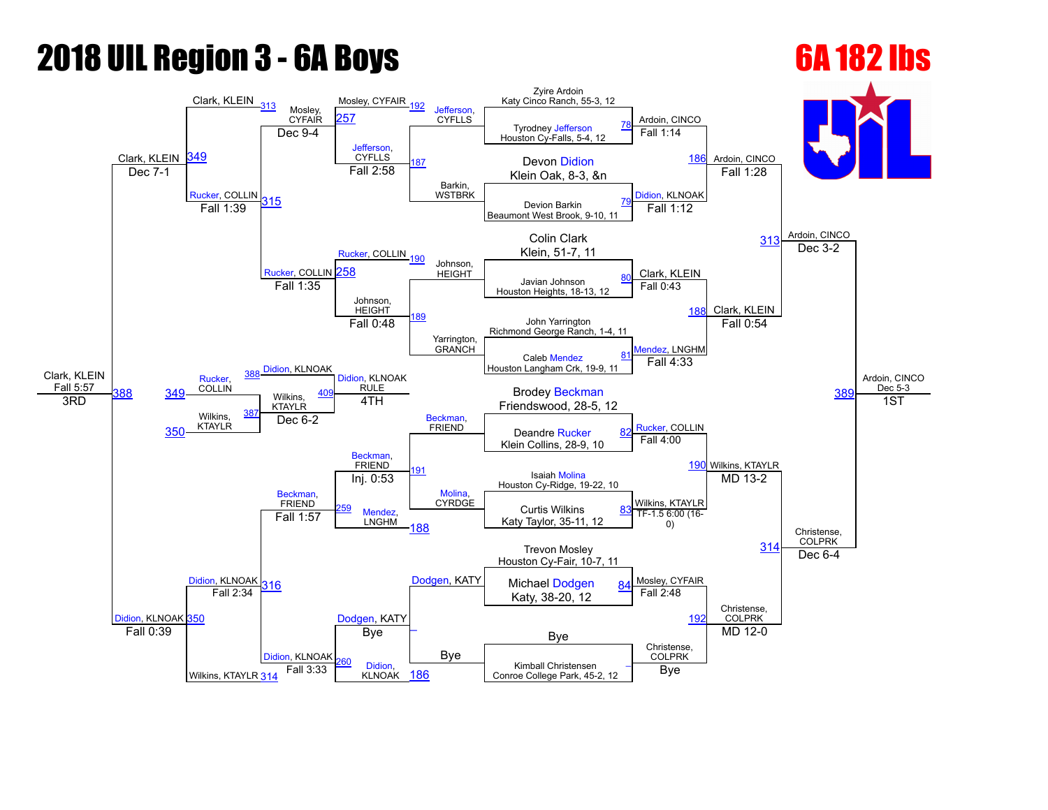# **2018 UIL Region 3 - 6A Boys 6A 182 lbs**

## Clark, KLEIN Fall 5:57 Clark, KLEIN Clark, KLEIN [313](javascript:openBoutSheet(17,) Mosley, CYFAIR Mosley, CYFAIR [192](javascript:openBoutSheet(15,) [Jefferson,](javascript:viewProfile(245839096)) **CYFLLS** Zyire Ardoin Katy Cinco Ranch, 55-3, 12 Ardoin, CINCO Ardoin, CINCO Ardoin, CINCO Ardoin, CINCO Dec 5-3 [349](javascript:openBoutSheet(25,) [257](javascript:openBoutSheet(18,) Tyrodney [Jefferson](javascript:viewProfile(245839096)) Houston Cy-Falls, 5-4, 12 [78](javascript:openBoutSheet(1,) Dec 9-4 [Jefferson](javascript:viewProfile(245839096)), **CYFLLS** [187](javascript:openBoutSheet(10,) Barkin, WSTBRK Fall 1:14 Devon [Didion](javascript:viewProfile(597265096)) [186](javascript:openBoutSheet(9,) Dec 7-1 **Dec 7-1 CONFIDENTIAL CONSUMING THE RANGE OF THE RANGE OF STATE OF THE RANGE OF STATE OF STATE OF STATE OF STATE OF STATE OF STATE OF STATE OF STATE OF STATE OF STATE OF STATE OF STATE OF STATE OF STATE OF STATE** [Rucker](javascript:viewProfile(73896009)), COLLIN [315](javascript:openBoutSheet(23,) Fall 2:58 [Didion,](javascript:viewProfile(597265096)) KLNOAK Fall 1:28 Devion Barkin Beaumont West Brook, 9-10, 11 [79](javascript:openBoutSheet(2,) Fall 1:39 [Rucker,](javascript:viewProfile(73896009)) COLLIN [190](javascript:openBoutSheet(13,) Fall 1:12 Colin Clark [313](javascript:openBoutSheet(17,) Klein, 51-7, 11 [Rucker,](javascript:viewProfile(73896009)) COLLIN [258](javascript:openBoutSheet(19,) Johnson,<br>HEIGHT Clark, KLEIN Dec  $3-2$ Javian Johnson Houston Heights, 18-13, 12 [80](javascript:openBoutSheet(3,) Fall 1:35 Johnson, **HEIGHT** [189](javascript:openBoutSheet(12,) Yarrington, GRANCH Fall 0:43 [188](javascript:openBoutSheet(11,) Clark, KLEIN John Yarrington Richmond George Ranch, 1-4, 11 [Didion,](javascript:viewProfile(597265096)) KLNOAK Fall 0:48 lendez, LNGHM Fall 0:54 38 Caleb [Mendez](javascript:viewProfile(1046099096)) Houston Langham Crk, 19-9, 11 [81](javascript:openBoutSheet(4,) [Rucker,](javascript:viewProfile(73896009)) **COLLIN** [Didion](javascript:viewProfile(597265096)), KLNOAK RULE [Beckman](javascript:viewProfile(1396476009)), FRIEND Fall 4:33 [349](javascript:openBoutSheet(25,) COLLIN Wilkins, KTAYLR **Brodey [Beckman](javascript:viewProfile(1396476009))**  $\overline{S}$   $\overline{S}$   $\overline{S}$   $\overline{S}$   $\overline{S}$   $\overline{S}$   $\overline{S}$   $\overline{S}$   $\overline{S}$   $\overline{S}$   $\overline{S}$   $\overline{S}$   $\overline{S}$   $\overline{S}$   $\overline{S}$   $\overline{S}$   $\overline{S}$   $\overline{S}$   $\overline{S}$   $\overline{S}$   $\overline{S}$   $\overline{S}$   $\overline{S}$   $\overline{S}$   $\overline{$ Wilkins, KTAYLR [387](javascript:openBoutSheet(27,) 4TH [Rucker,](javascript:viewProfile(73896009)) COLLIN Wilkins, KTAYLR 1ST [350](javascript:openBoutSheet(26,) Dec  $6-2$ Deandre [Rucker](javascript:viewProfile(73896009)) Klein Collins, 28-9, 10 [82](javascript:openBoutSheet(5,) [Didion](javascript:viewProfile(597265096)), KLNOAK [Beckman,](javascript:viewProfile(1396476009)) FRIEND<sub>[191](javascript:openBoutSheet(14,)</sub> [Molina](javascript:viewProfile(1891883096)), CYRDGE Fall 4:00 [190](javascript:openBoutSheet(13,) [Didion,](javascript:viewProfile(597265096)) KLNOAK [350](javascript:openBoutSheet(26,) [Beckman,](javascript:viewProfile(1396476009)) FRIEND Isaiah [Molina](javascript:viewProfile(1891883096)) Houston Cy-Ridge, 19-22, 10 Inj. 0:53 Wilkins, KTAYLR MD 13-2 Christense, COLPRK [Mendez](javascript:viewProfile(1046099096)), LNGHM Curtis Wilkins Katy Taylor, 35-11, 12 [83](javascript:openBoutSheet(6,) Fall 1:57 [188](javascript:openBoutSheet(11,) TF1.5 6:00 (16 0) [314](javascript:openBoutSheet(20,) [Dodgen,](javascript:viewProfile(1101548096)) KATY Trevon Mosley Houston Cy-Fair, 10-7, 11 [316](javascript:openBoutSheet(24,) **[Dodgen](javascript:viewProfile(1101548096)), KATY** Michael Dodgen 84 Mosley, CYFAIR Dec 6-4 Katy, 38-20, 12 [84](javascript:openBoutSheet(7,) Fall 2:34  $\overline{\phantom{a}}$ Bye Fall 2:48 19 Christense, COLPRK Fall 0:39  $\begin{array}{|c|c|c|c|c|c|}\n\hline\n\end{array}$  Bye  $\begin{array}{|c|c|c|c|c|}\n\hline\n\end{array}$  Bye Wilkins, KTAYLR [314](javascript:openBoutSheet(20,) **[Didion](javascript:viewProfile(597265096)), KLNOAK** Bye Christense, COLPRK MD 12-0 Didion. KLNOAK 186 Kimball Christensen Fall 3:33 **Digition, Marita Library Conroe College Park**, 45-2, 12 Bye  $\overline{\phantom{0}}$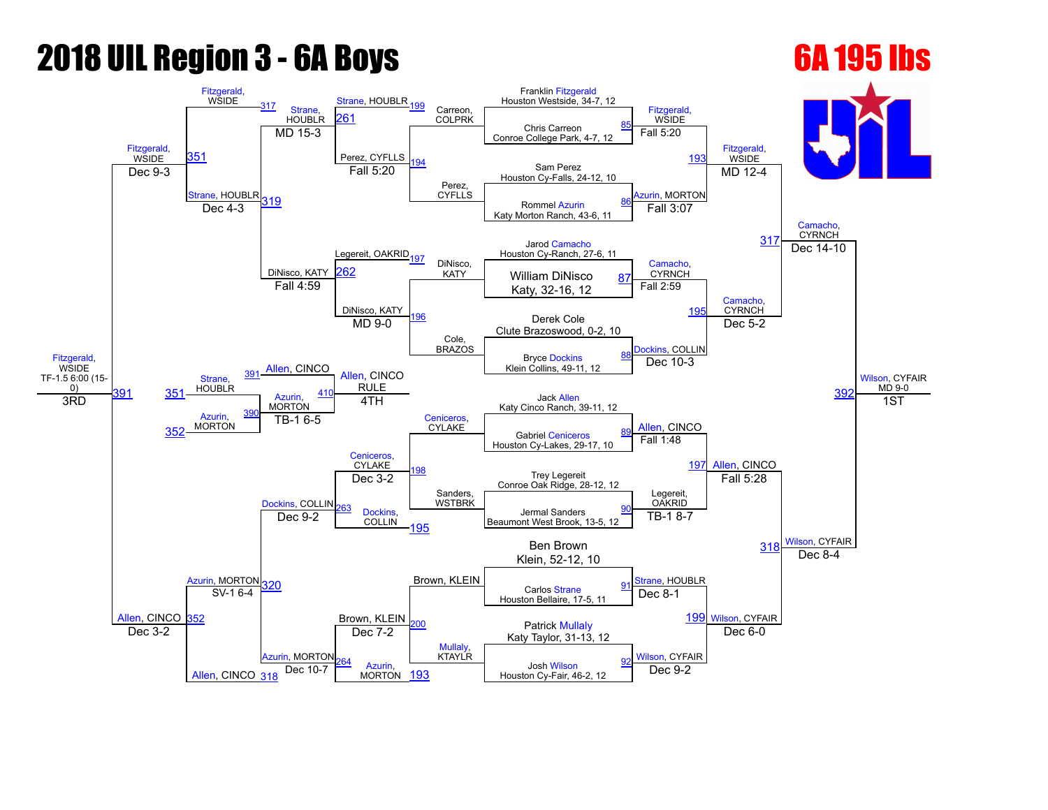# **2018 UIL Region 3 - 6A Boys 6A 195 lbs**

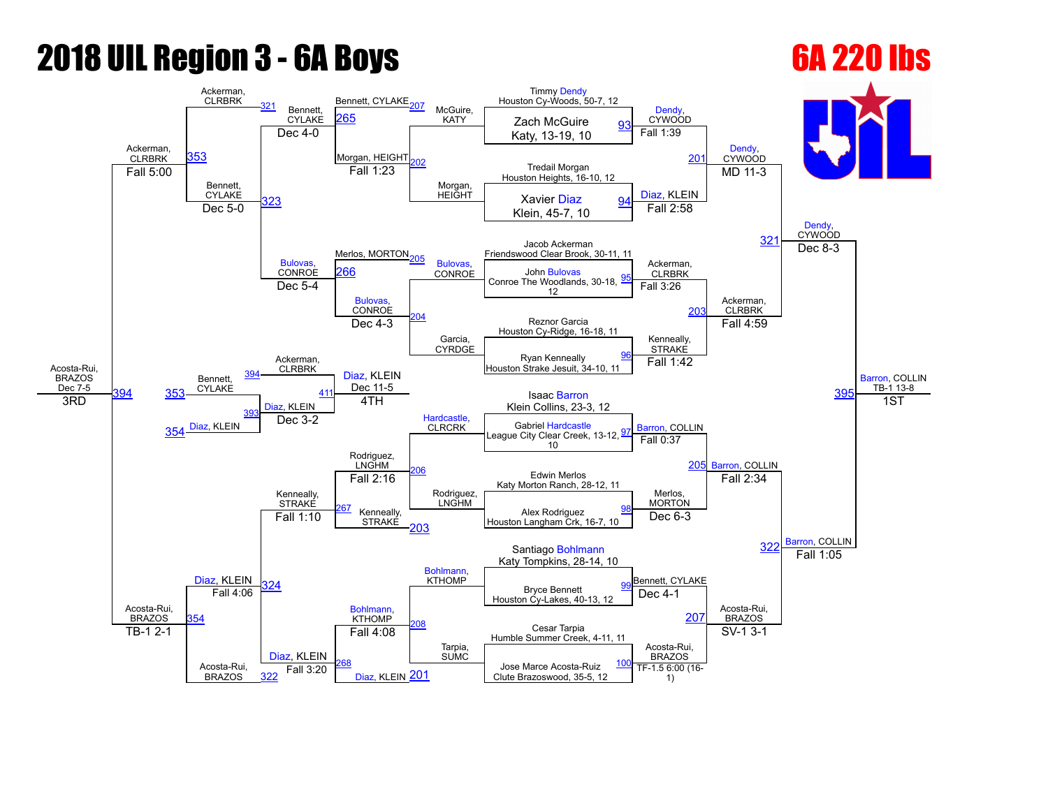## **2018 UIL Region 3 - 6A Boys 6A 220 lbs**

## Acosta-Rui, BRAZOS Dec 7-5 Ackerman, **CLRBRK** Ackerman, **CLRBRK** Bennett, CYLAKE Bennett, CYLAKE<sub>207</sub> McGuire, KATY Timmy [Dendy](javascript:viewProfile(332536096)) Houston Cy-Woods, 50-7, 12 [Dendy,](javascript:viewProfile(332536096)) **CYWOOD** [Dendy,](javascript:viewProfile(332536096)) **CYWOOD** [Dendy](javascript:viewProfile(332536096)), **CYWOOD** [Barron](javascript:viewProfile(41446076)), COLLIN TB-1 13-8 [353](javascript:openBoutSheet(25,) [265](javascript:openBoutSheet(18,) Missaire, Mary Zach McGuire  $\begin{array}{c|c}\n\hline\n\text{CFLARE} & \text{EOC} \\
\hline\n\text{Dec 4-0} & \text{AHT} & \text{Xaty, 13-19, 10}\n\end{array}$ Morgan, HEIGHT [202](javascript:openBoutSheet(10,) Morgan, **HEIGHT** Fall 1:39  $20<sup>1</sup>$ Tredail Morgan Houston Heights, 16-10, 12 Fall 5:00 Bennett, CYLAKE [323](javascript:openBoutSheet(23,) Fall 1:23 [Diaz](javascript:viewProfile(608242096)), KLEIN  $MD$  11-3 Xavier [Diaz](javascript:viewProfile(608242096)) Klein, 45-7, 10  $\frac{612000}{223}$  323 Dec 5-0  $\frac{94}{2}$  $\frac{94}{2}$  $\frac{94}{2}$ Merlos, MORTON<sub>205</sub> Fall 2:58 Jacob Ackerman 32<sup>1</sup> Friendswood Clear Brook, 30-11, 11 [Bulovas,](javascript:viewProfile(1167682096)) **CONROE [Bulovas](javascript:viewProfile(1167682096))** CONROE Ackerman, **CLRBRK** Dec  $8-3$  $\frac{54}{266}$  $\frac{54}{266}$  $\frac{54}{266}$  CONROF John [Bulovas](javascript:viewProfile(1167682096)) Conroe The Woodlands, 30-18, 12 [95](javascript:openBoutSheet(3,) Dec 5-4 [Bulovas](javascript:viewProfile(1167682096)), **CONROE** [204](javascript:openBoutSheet(12,) Garcia, CYRDGE Fall 3:26 [203](javascript:openBoutSheet(11,) Ackerman, CLRBRK Reznor Garcia Houston Cy-Ridge, 16-18, 11 Ackerman, CLRBRK Dec 4-3 Kenneally, **STRAKE** Fall 4:59 39 Ryan Kenneally Houston Strake Jesuit, 34-10, 11 [96](javascript:openBoutSheet(4,) Bennett, **CYLAKE** [Diaz,](javascript:viewProfile(608242096)) KLEIN Dec 11-5 [Hardcastle,](javascript:viewProfile(1532500096)) CLRCRK Fall 1:42 [353](javascript:openBoutSheet(25,) [Diaz,](javascript:viewProfile(608242096)) KLEIN **Isaac [Barron](javascript:viewProfile(41446076))** Klein Collins, 23-3, 12 3RD 354 <sup>[Diaz](javascript:viewProfile(608242096)), KLEIN</sup> [393](javascript:openBoutSheet(27,) 4TH [Barron](javascript:viewProfile(41446076)), COLLIN [Barron,](javascript:viewProfile(41446076)) COLLIN 1ST Dec 3-2 Flandcastle, CLRCRK Gabriel [Hardcastle](javascript:viewProfile(1532500096)) League City Clear Creek, 13-12, 10 [97](javascript:openBoutSheet(5,) [Diaz,](javascript:viewProfile(608242096)) KLEIN Rodriguez,<br>LNGHM<br>= .: <u>e .: e</u> ... Rodriguez, LNGHM Fall 0:37 [205](javascript:openBoutSheet(13,) Acosta-Rui, BRAZOS Kenneally, **STRAKÉ** Edwin Merlos Katy Morton Ranch, 28-12, 11 Fall 2:16 Merlos, **MORTON** Fall 2:34 [Barron,](javascript:viewProfile(41446076)) COLLIN Kenneally, STRAKE Alex Rodriguez Houston Langham Crk, 16-7, 10 [98](javascript:openBoutSheet(6,) Fall 1:10 [203](javascript:openBoutSheet(11,) Dec  $6-3$ 32 [Bohlmann](javascript:viewProfile(344988132)), **KTHOMP** Santiago [Bohlmann](javascript:viewProfile(344988132)) Katy Tompkins, 28-14, 10 [324](javascript:openBoutSheet(24,) [Bohlmann](javascript:viewProfile(344988132)),<br>KTHOMP Bennett, CYLAKE Fall 1:05 Bryce Bennett Houston Cy-Lakes, 40-13, 12 [99](javascript:openBoutSheet(7,) [354](javascript:openBoutSheet(26,) Fall 4:06 [208](javascript:openBoutSheet(16,) Tarpia, SUMC Dec 4-1 [207](javascript:openBoutSheet(15,) Acosta-Rui, BRAZOS Cesar Tarpia Humble Summer Creek, 4-11, 11 TB-1 2-1 Acosta-Rui. BRAZOS [Diaz](javascript:viewProfile(608242096)), KLEIN Fall 4:08 Acosta-Rui. BRAZOS  $SV-1$  3-1 [268](javascript:openBoutSheet(22,) [Diaz](javascript:viewProfile(608242096)), KLEIN 201 Jose Marce Acosta-Ruiz Fall 3:20  $\begin{array}{|l|l|}\n\hline\n\text{Data} & \text{Data} \\
\hline\n\text{Data} & \text{Data} \\
\hline\n\text{Data} & \text{Data} \\
\hline\n\end{array}$   $\begin{array}{c} \text{Date} & \text{Date} & \text{Date} \\
\text{Date} & \text{Base} \\
\text{Date} & \text{Base} \\
\end{array}$ [100](javascript:openBoutSheet(8,) [322](javascript:openBoutSheet(20,) 1)